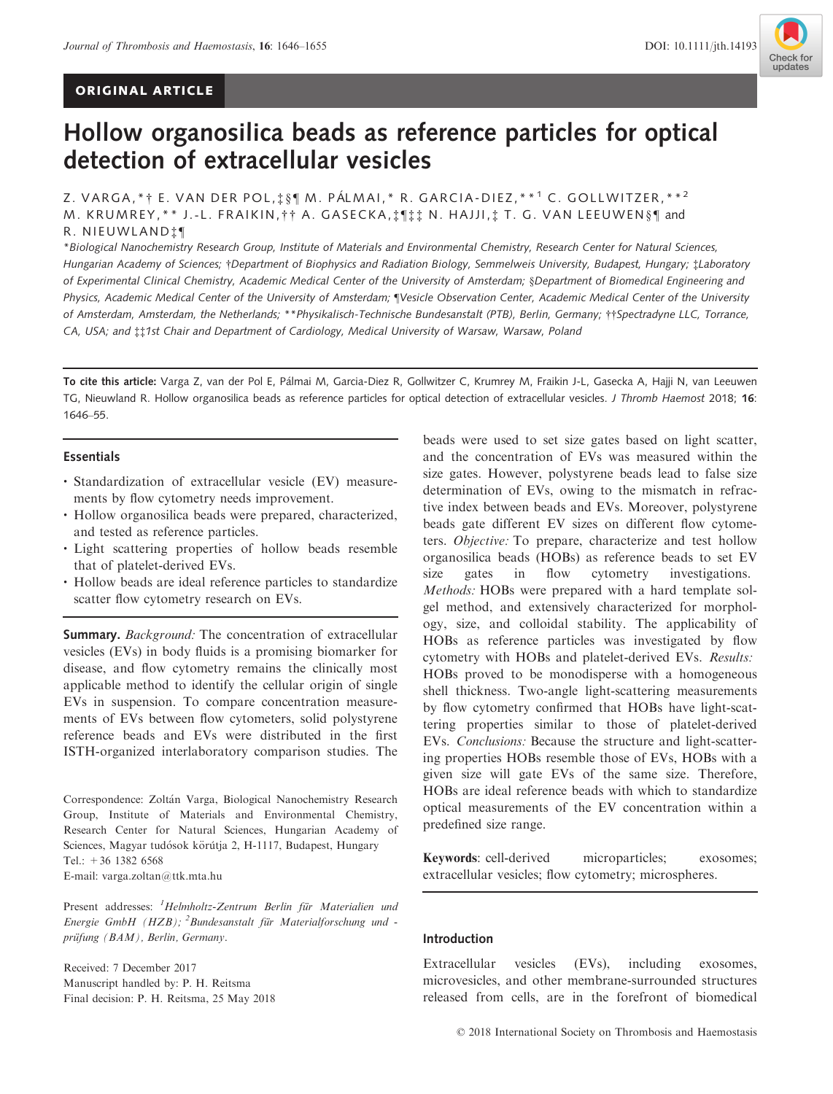# ORIGINAL ARTICLE



# Hollow organosilica beads as reference particles for optical detection of extracellular vesicles

Z. VARGA, \* † E. VAN DER POL, † § ¶ M. PÁLMAI, \* R. GARCIA-DIEZ, \* \*<sup>1</sup> C. GOLLWITZER, \* \* <sup>2</sup> M. KRUMREY, \* \* J.-L. FRAIKIN, † † A. GASECKA, ‡ ¶ ‡ ‡ N. HAJJI, ‡ T. G. VAN LEEUWEN§ ¶ and R. NIEUWLAND‡ ¶

\*Biological Nanochemistry Research Group, Institute of Materials and Environmental Chemistry, Research Center for Natural Sciences, Hungarian Academy of Sciences; †Department of Biophysics and Radiation Biology, Semmelweis University, Budapest, Hungary; ‡Laboratory of Experimental Clinical Chemistry, Academic Medical Center of the University of Amsterdam; §Department of Biomedical Engineering and Physics, Academic Medical Center of the University of Amsterdam; ¶Vesicle Observation Center, Academic Medical Center of the University of Amsterdam, Amsterdam, the Netherlands; \*\*Physikalisch-Technische Bundesanstalt (PTB), Berlin, Germany; ††Spectradyne LLC, Torrance, CA, USA; and ‡‡1st Chair and Department of Cardiology, Medical University of Warsaw, Warsaw, Poland

To cite this article: Varga Z, van der Pol E, Palmai M, Garcia-Diez R, Gollwitzer C, Krumrey M, Fraikin J-L, Gasecka A, Hajji N, van Leeuwen TG, Nieuwland R. Hollow organosilica beads as reference particles for optical detection of extracellular vesicles. J Thromb Haemost 2018; 16: 1646–55.

#### Essentials

- Standardization of extracellular vesicle (EV) measurements by flow cytometry needs improvement.
- Hollow organosilica beads were prepared, characterized, and tested as reference particles.
- Light scattering properties of hollow beads resemble that of platelet-derived EVs.
- Hollow beads are ideal reference particles to standardize scatter flow cytometry research on EVs.

Summary. Background: The concentration of extracellular vesicles (EVs) in body fluids is a promising biomarker for disease, and flow cytometry remains the clinically most applicable method to identify the cellular origin of single EVs in suspension. To compare concentration measurements of EVs between flow cytometers, solid polystyrene reference beads and EVs were distributed in the first ISTH-organized interlaboratory comparison studies. The

Correspondence: Zoltán Varga, Biological Nanochemistry Research Group, Institute of Materials and Environmental Chemistry, Research Center for Natural Sciences, Hungarian Academy of Sciences, Magyar tudósok körútja 2, H-1117, Budapest, Hungary Tel.: +36 1382 6568 E-mail: varga.zoltan@ttk.mta.hu

Present addresses: <sup>1</sup>Helmholtz-Zentrum Berlin für Materialien und Energie GmbH (HZB); <sup>2</sup>Bundesanstalt für Materialforschung und prüfung (BAM), Berlin, Germany.

Received: 7 December 2017 Manuscript handled by: P. H. Reitsma Final decision: P. H. Reitsma, 25 May 2018 beads were used to set size gates based on light scatter, and the concentration of EVs was measured within the size gates. However, polystyrene beads lead to false size determination of EVs, owing to the mismatch in refractive index between beads and EVs. Moreover, polystyrene beads gate different EV sizes on different flow cytometers. Objective: To prepare, characterize and test hollow organosilica beads (HOBs) as reference beads to set EV size gates in flow cytometry investigations. Methods: HOBs were prepared with a hard template solgel method, and extensively characterized for morphology, size, and colloidal stability. The applicability of HOBs as reference particles was investigated by flow cytometry with HOBs and platelet-derived EVs. Results: HOBs proved to be monodisperse with a homogeneous shell thickness. Two-angle light-scattering measurements by flow cytometry confirmed that HOBs have light-scattering properties similar to those of platelet-derived EVs. Conclusions: Because the structure and light-scattering properties HOBs resemble those of EVs, HOBs with a given size will gate EVs of the same size. Therefore, HOBs are ideal reference beads with which to standardize optical measurements of the EV concentration within a predefined size range.

Keywords: cell-derived microparticles; exosomes; extracellular vesicles; flow cytometry; microspheres.

## Introduction

Extracellular vesicles (EVs), including exosomes, microvesicles, and other membrane-surrounded structures released from cells, are in the forefront of biomedical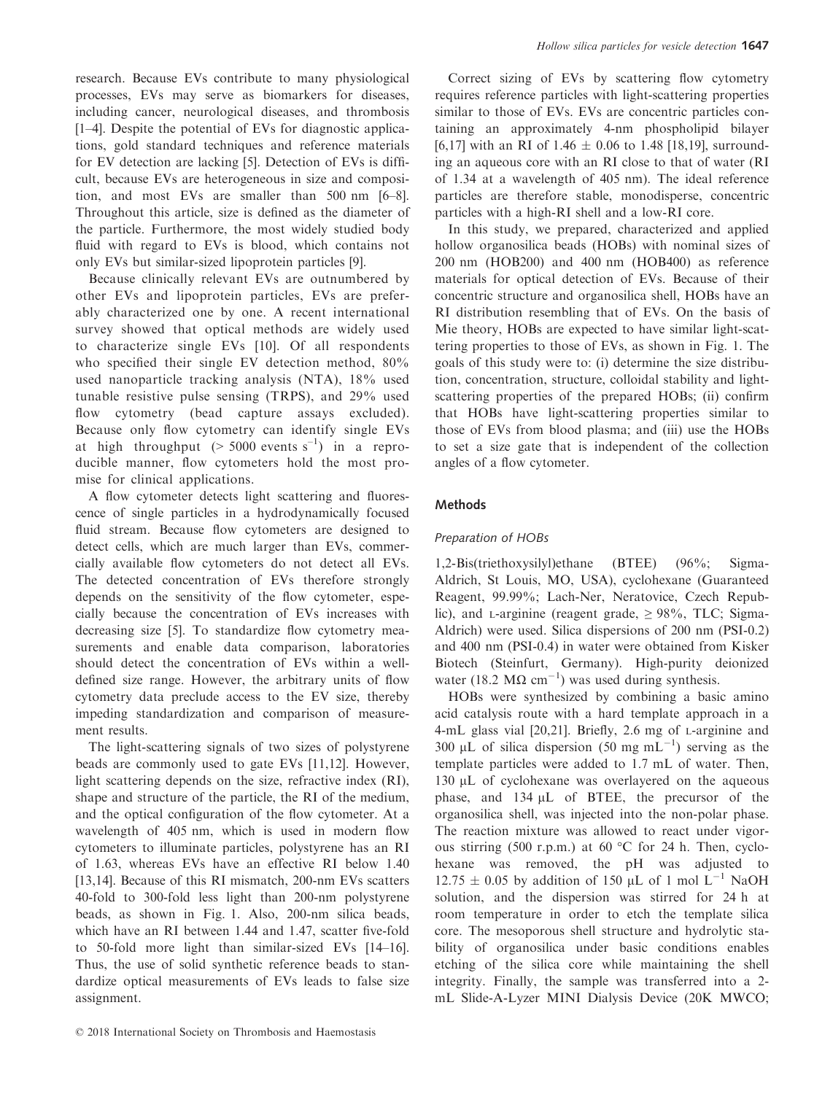research. Because EVs contribute to many physiological processes, EVs may serve as biomarkers for diseases, including cancer, neurological diseases, and thrombosis [1–4]. Despite the potential of EVs for diagnostic applications, gold standard techniques and reference materials for EV detection are lacking [5]. Detection of EVs is difficult, because EVs are heterogeneous in size and composition, and most EVs are smaller than 500 nm [6–8]. Throughout this article, size is defined as the diameter of the particle. Furthermore, the most widely studied body fluid with regard to EVs is blood, which contains not only EVs but similar-sized lipoprotein particles [9].

Because clinically relevant EVs are outnumbered by other EVs and lipoprotein particles, EVs are preferably characterized one by one. A recent international survey showed that optical methods are widely used to characterize single EVs [10]. Of all respondents who specified their single EV detection method,  $80\%$ used nanoparticle tracking analysis (NTA), 18% used tunable resistive pulse sensing (TRPS), and 29% used flow cytometry (bead capture assays excluded). Because only flow cytometry can identify single EVs at high throughput  $(> 5000$  events s<sup>-1</sup>) in a reproducible manner, flow cytometers hold the most promise for clinical applications.

A flow cytometer detects light scattering and fluorescence of single particles in a hydrodynamically focused fluid stream. Because flow cytometers are designed to detect cells, which are much larger than EVs, commercially available flow cytometers do not detect all EVs. The detected concentration of EVs therefore strongly depends on the sensitivity of the flow cytometer, especially because the concentration of EVs increases with decreasing size [5]. To standardize flow cytometry measurements and enable data comparison, laboratories should detect the concentration of EVs within a welldefined size range. However, the arbitrary units of flow cytometry data preclude access to the EV size, thereby impeding standardization and comparison of measurement results.

The light-scattering signals of two sizes of polystyrene beads are commonly used to gate EVs [11,12]. However, light scattering depends on the size, refractive index (RI), shape and structure of the particle, the RI of the medium, and the optical configuration of the flow cytometer. At a wavelength of 405 nm, which is used in modern flow cytometers to illuminate particles, polystyrene has an RI of 1.63, whereas EVs have an effective RI below 1.40 [13,14]. Because of this RI mismatch, 200-nm EVs scatters 40-fold to 300-fold less light than 200-nm polystyrene beads, as shown in Fig. 1. Also, 200-nm silica beads, which have an RI between 1.44 and 1.47, scatter five-fold to 50-fold more light than similar-sized EVs [14–16]. Thus, the use of solid synthetic reference beads to standardize optical measurements of EVs leads to false size assignment.

Correct sizing of EVs by scattering flow cytometry requires reference particles with light-scattering properties similar to those of EVs. EVs are concentric particles containing an approximately 4-nm phospholipid bilayer [6,17] with an RI of 1.46  $\pm$  0.06 to 1.48 [18,19], surrounding an aqueous core with an RI close to that of water (RI of 1.34 at a wavelength of 405 nm). The ideal reference particles are therefore stable, monodisperse, concentric particles with a high-RI shell and a low-RI core.

In this study, we prepared, characterized and applied hollow organosilica beads (HOBs) with nominal sizes of 200 nm (HOB200) and 400 nm (HOB400) as reference materials for optical detection of EVs. Because of their concentric structure and organosilica shell, HOBs have an RI distribution resembling that of EVs. On the basis of Mie theory, HOBs are expected to have similar light-scattering properties to those of EVs, as shown in Fig. 1. The goals of this study were to: (i) determine the size distribution, concentration, structure, colloidal stability and lightscattering properties of the prepared HOBs; (ii) confirm that HOBs have light-scattering properties similar to those of EVs from blood plasma; and (iii) use the HOBs to set a size gate that is independent of the collection angles of a flow cytometer.

# Methods

# Preparation of HOBs

1,2-Bis(triethoxysilyl)ethane (BTEE) (96%; Sigma-Aldrich, St Louis, MO, USA), cyclohexane (Guaranteed Reagent, 99.99%; Lach-Ner, Neratovice, Czech Republic), and L-arginine (reagent grade,  $\geq$  98%, TLC; Sigma-Aldrich) were used. Silica dispersions of 200 nm (PSI-0.2) and 400 nm (PSI-0.4) in water were obtained from Kisker Biotech (Steinfurt, Germany). High-purity deionized water (18.2 M $\Omega$  cm<sup>-1</sup>) was used during synthesis.

HOBs were synthesized by combining a basic amino acid catalysis route with a hard template approach in a 4-mL glass vial [20,21]. Briefly, 2.6 mg of L-arginine and 300 µL of silica dispersion (50 mg mL<sup>-1</sup>) serving as the template particles were added to 1.7 mL of water. Then, 130 µL of cyclohexane was overlayered on the aqueous phase, and  $134 \mu L$  of BTEE, the precursor of the organosilica shell, was injected into the non-polar phase. The reaction mixture was allowed to react under vigorous stirring (500 r.p.m.) at 60 °C for 24 h. Then, cyclohexane was removed, the pH was adjusted to  $12.75 \pm 0.05$  by addition of 150 µL of 1 mol L<sup>-1</sup> NaOH solution, and the dispersion was stirred for 24 h at room temperature in order to etch the template silica core. The mesoporous shell structure and hydrolytic stability of organosilica under basic conditions enables etching of the silica core while maintaining the shell integrity. Finally, the sample was transferred into a 2 mL Slide-A-Lyzer MINI Dialysis Device (20K MWCO;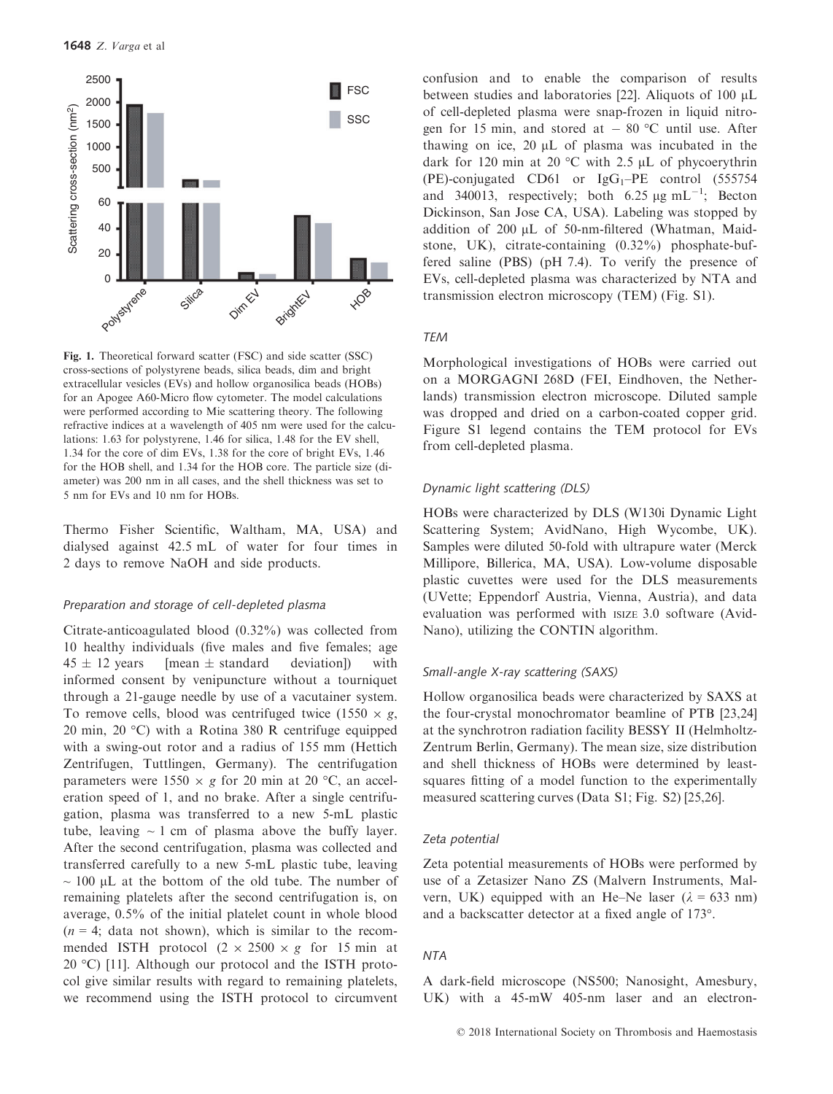

Fig. 1. Theoretical forward scatter (FSC) and side scatter (SSC) cross-sections of polystyrene beads, silica beads, dim and bright extracellular vesicles (EVs) and hollow organosilica beads (HOBs) for an Apogee A60-Micro flow cytometer. The model calculations were performed according to Mie scattering theory. The following refractive indices at a wavelength of 405 nm were used for the calculations: 1.63 for polystyrene, 1.46 for silica, 1.48 for the EV shell, 1.34 for the core of dim EVs, 1.38 for the core of bright EVs, 1.46 for the HOB shell, and 1.34 for the HOB core. The particle size (diameter) was 200 nm in all cases, and the shell thickness was set to 5 nm for EVs and 10 nm for HOBs.

Thermo Fisher Scientific, Waltham, MA, USA) and dialysed against 42.5 mL of water for four times in 2 days to remove NaOH and side products.

## Preparation and storage of cell-depleted plasma

Citrate-anticoagulated blood (0.32%) was collected from 10 healthy individuals (five males and five females; age  $45 \pm 12$  years [mean  $\pm$  standard deviation]) with informed consent by venipuncture without a tourniquet through a 21-gauge needle by use of a vacutainer system. To remove cells, blood was centrifuged twice (1550  $\times g$ , 20 min, 20 °C) with a Rotina 380 R centrifuge equipped with a swing-out rotor and a radius of 155 mm (Hettich Zentrifugen, Tuttlingen, Germany). The centrifugation parameters were  $1550 \times g$  for 20 min at 20 °C, an acceleration speed of 1, and no brake. After a single centrifugation, plasma was transferred to a new 5-mL plastic tube, leaving  $\sim 1$  cm of plasma above the buffy layer. After the second centrifugation, plasma was collected and transferred carefully to a new 5-mL plastic tube, leaving  $\sim$  100 µL at the bottom of the old tube. The number of remaining platelets after the second centrifugation is, on average, 0.5% of the initial platelet count in whole blood  $(n = 4; \text{ data not shown})$ , which is similar to the recommended ISTH protocol  $(2 \times 2500 \times g)$  for 15 min at 20 °C) [11]. Although our protocol and the ISTH protocol give similar results with regard to remaining platelets, we recommend using the ISTH protocol to circumvent confusion and to enable the comparison of results between studies and laboratories [22]. Aliquots of 100  $\mu$ L of cell-depleted plasma were snap-frozen in liquid nitrogen for 15 min, and stored at  $-80$  °C until use. After thawing on ice,  $20 \mu L$  of plasma was incubated in the dark for 120 min at 20  $^{\circ}$ C with 2.5 µL of phycoerythrin (PE)-conjugated CD61 or  $IgG_1-PE$  control (555754) and 340013, respectively; both 6.25  $\mu$ g mL<sup>-1</sup>; Becton Dickinson, San Jose CA, USA). Labeling was stopped by addition of  $200 \mu L$  of  $50\text{-nm-filtered}$  (Whatman, Maidstone, UK), citrate-containing (0.32%) phosphate-buffered saline (PBS) (pH 7.4). To verify the presence of EVs, cell-depleted plasma was characterized by NTA and transmission electron microscopy (TEM) (Fig. S1).

#### TEM

Morphological investigations of HOBs were carried out on a MORGAGNI 268D (FEI, Eindhoven, the Netherlands) transmission electron microscope. Diluted sample was dropped and dried on a carbon-coated copper grid. Figure S1 legend contains the TEM protocol for EVs from cell-depleted plasma.

#### Dynamic light scattering (DLS)

HOBs were characterized by DLS (W130i Dynamic Light Scattering System; AvidNano, High Wycombe, UK). Samples were diluted 50-fold with ultrapure water (Merck Millipore, Billerica, MA, USA). Low-volume disposable plastic cuvettes were used for the DLS measurements (UVette; Eppendorf Austria, Vienna, Austria), and data evaluation was performed with ISIZE 3.0 software (Avid-Nano), utilizing the CONTIN algorithm.

#### Small-angle X-ray scattering (SAXS)

Hollow organosilica beads were characterized by SAXS at the four-crystal monochromator beamline of PTB [23,24] at the synchrotron radiation facility BESSY II (Helmholtz-Zentrum Berlin, Germany). The mean size, size distribution and shell thickness of HOBs were determined by leastsquares fitting of a model function to the experimentally measured scattering curves (Data S1; Fig. S2) [25,26].

#### Zeta potential

Zeta potential measurements of HOBs were performed by use of a Zetasizer Nano ZS (Malvern Instruments, Malvern, UK) equipped with an He–Ne laser ( $\lambda$  = 633 nm) and a backscatter detector at a fixed angle of 173°.

## NTA

A dark-field microscope (NS500; Nanosight, Amesbury, UK) with a 45-mW 405-nm laser and an electron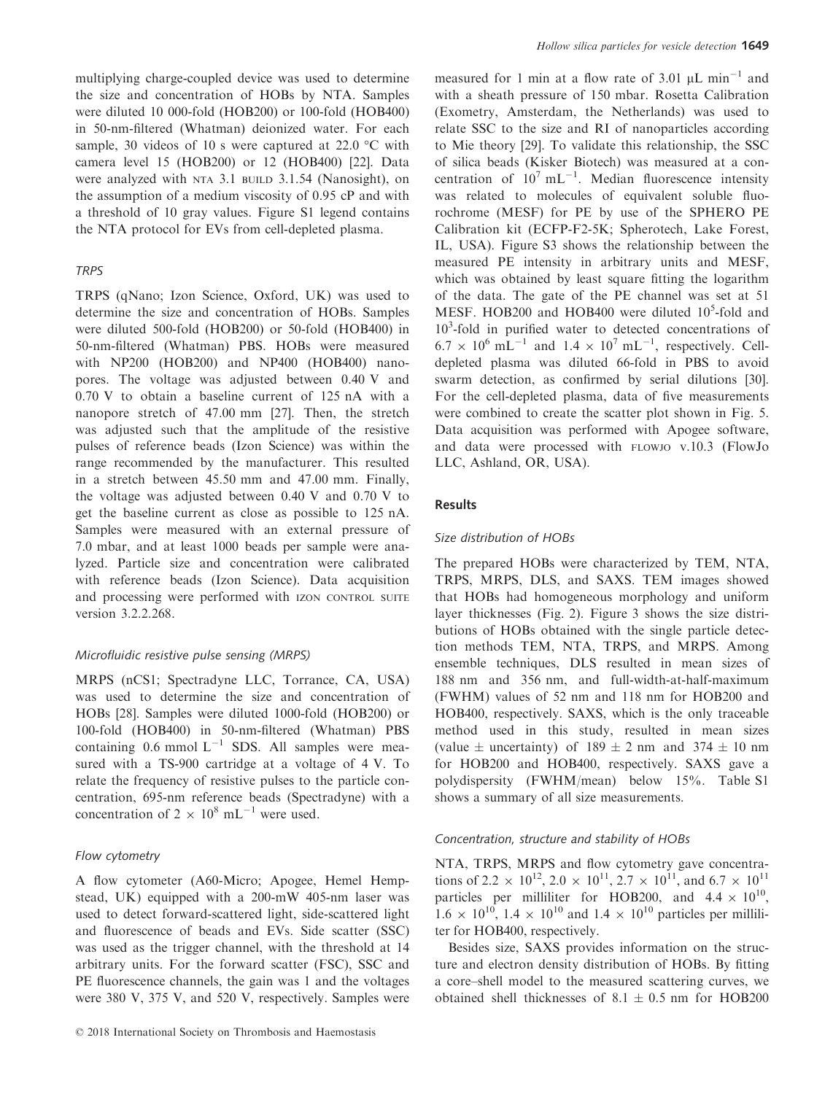multiplying charge-coupled device was used to determine the size and concentration of HOBs by NTA. Samples were diluted 10 000-fold (HOB200) or 100-fold (HOB400) in 50-nm-filtered (Whatman) deionized water. For each sample, 30 videos of 10 s were captured at 22.0 °C with camera level 15 (HOB200) or 12 (HOB400) [22]. Data were analyzed with NTA 3.1 BUILD 3.1.54 (Nanosight), on the assumption of a medium viscosity of 0.95 cP and with a threshold of 10 gray values. Figure S1 legend contains the NTA protocol for EVs from cell-depleted plasma.

## TRPS

TRPS (qNano; Izon Science, Oxford, UK) was used to determine the size and concentration of HOBs. Samples were diluted 500-fold (HOB200) or 50-fold (HOB400) in 50-nm-filtered (Whatman) PBS. HOBs were measured with NP200 (HOB200) and NP400 (HOB400) nanopores. The voltage was adjusted between 0.40 V and 0.70 V to obtain a baseline current of 125 nA with a nanopore stretch of 47.00 mm [27]. Then, the stretch was adjusted such that the amplitude of the resistive pulses of reference beads (Izon Science) was within the range recommended by the manufacturer. This resulted in a stretch between 45.50 mm and 47.00 mm. Finally, the voltage was adjusted between 0.40 V and 0.70 V to get the baseline current as close as possible to 125 nA. Samples were measured with an external pressure of 7.0 mbar, and at least 1000 beads per sample were analyzed. Particle size and concentration were calibrated with reference beads (Izon Science). Data acquisition and processing were performed with IZON CONTROL SUITE version 3.2.2.268.

# Microfluidic resistive pulse sensing (MRPS)

MRPS (nCS1; Spectradyne LLC, Torrance, CA, USA) was used to determine the size and concentration of HOBs [28]. Samples were diluted 1000-fold (HOB200) or 100-fold (HOB400) in 50-nm-filtered (Whatman) PBS containing 0.6 mmol  $L^{-1}$  SDS. All samples were measured with a TS-900 cartridge at a voltage of 4 V. To relate the frequency of resistive pulses to the particle concentration, 695-nm reference beads (Spectradyne) with a concentration of  $2 \times 10^8$  mL<sup>-1</sup> were used.

#### Flow cytometry

A flow cytometer (A60-Micro; Apogee, Hemel Hempstead, UK) equipped with a 200-mW 405-nm laser was used to detect forward-scattered light, side-scattered light and fluorescence of beads and EVs. Side scatter (SSC) was used as the trigger channel, with the threshold at 14 arbitrary units. For the forward scatter (FSC), SSC and PE fluorescence channels, the gain was 1 and the voltages were 380 V, 375 V, and 520 V, respectively. Samples were measured for 1 min at a flow rate of 3.01  $\mu$ L min<sup>-1</sup> and with a sheath pressure of 150 mbar. Rosetta Calibration (Exometry, Amsterdam, the Netherlands) was used to relate SSC to the size and RI of nanoparticles according to Mie theory [29]. To validate this relationship, the SSC of silica beads (Kisker Biotech) was measured at a concentration of  $10^7$  mL<sup>-1</sup>. Median fluorescence intensity was related to molecules of equivalent soluble fluorochrome (MESF) for PE by use of the SPHERO PE Calibration kit (ECFP-F2-5K; Spherotech, Lake Forest, IL, USA). Figure S3 shows the relationship between the measured PE intensity in arbitrary units and MESF, which was obtained by least square fitting the logarithm of the data. The gate of the PE channel was set at 51 MESF. HOB200 and HOB400 were diluted  $10<sup>5</sup>$ -fold and 10<sup>3</sup>-fold in purified water to detected concentrations of  $6.7 \times 10^6$  mL<sup>-1</sup> and  $1.4 \times 10^7$  mL<sup>-1</sup>, respectively. Celldepleted plasma was diluted 66-fold in PBS to avoid swarm detection, as confirmed by serial dilutions [30]. For the cell-depleted plasma, data of five measurements were combined to create the scatter plot shown in Fig. 5. Data acquisition was performed with Apogee software, and data were processed with FLOWJO v.10.3 (FlowJo LLC, Ashland, OR, USA).

## Results

## Size distribution of HOBs

The prepared HOBs were characterized by TEM, NTA, TRPS, MRPS, DLS, and SAXS. TEM images showed that HOBs had homogeneous morphology and uniform layer thicknesses (Fig. 2). Figure 3 shows the size distributions of HOBs obtained with the single particle detection methods TEM, NTA, TRPS, and MRPS. Among ensemble techniques, DLS resulted in mean sizes of 188 nm and 356 nm, and full-width-at-half-maximum (FWHM) values of 52 nm and 118 nm for HOB200 and HOB400, respectively. SAXS, which is the only traceable method used in this study, resulted in mean sizes (value  $\pm$  uncertainty) of 189  $\pm$  2 nm and 374  $\pm$  10 nm for HOB200 and HOB400, respectively. SAXS gave a polydispersity (FWHM/mean) below 15%. Table S1 shows a summary of all size measurements.

#### Concentration, structure and stability of HOBs

NTA, TRPS, MRPS and flow cytometry gave concentrations of 2.2  $\times$  10<sup>12</sup>, 2.0  $\times$  10<sup>11</sup>, 2.7  $\times$  10<sup>11</sup>, and 6.7  $\times$  10<sup>11</sup> particles per milliliter for HOB200, and  $4.4 \times 10^{10}$ .  $1.6 \times 10^{10}$ ,  $1.4 \times 10^{10}$  and  $1.4 \times 10^{10}$  particles per milliliter for HOB400, respectively.

Besides size, SAXS provides information on the structure and electron density distribution of HOBs. By fitting a core–shell model to the measured scattering curves, we obtained shell thicknesses of  $8.1 \pm 0.5$  nm for HOB200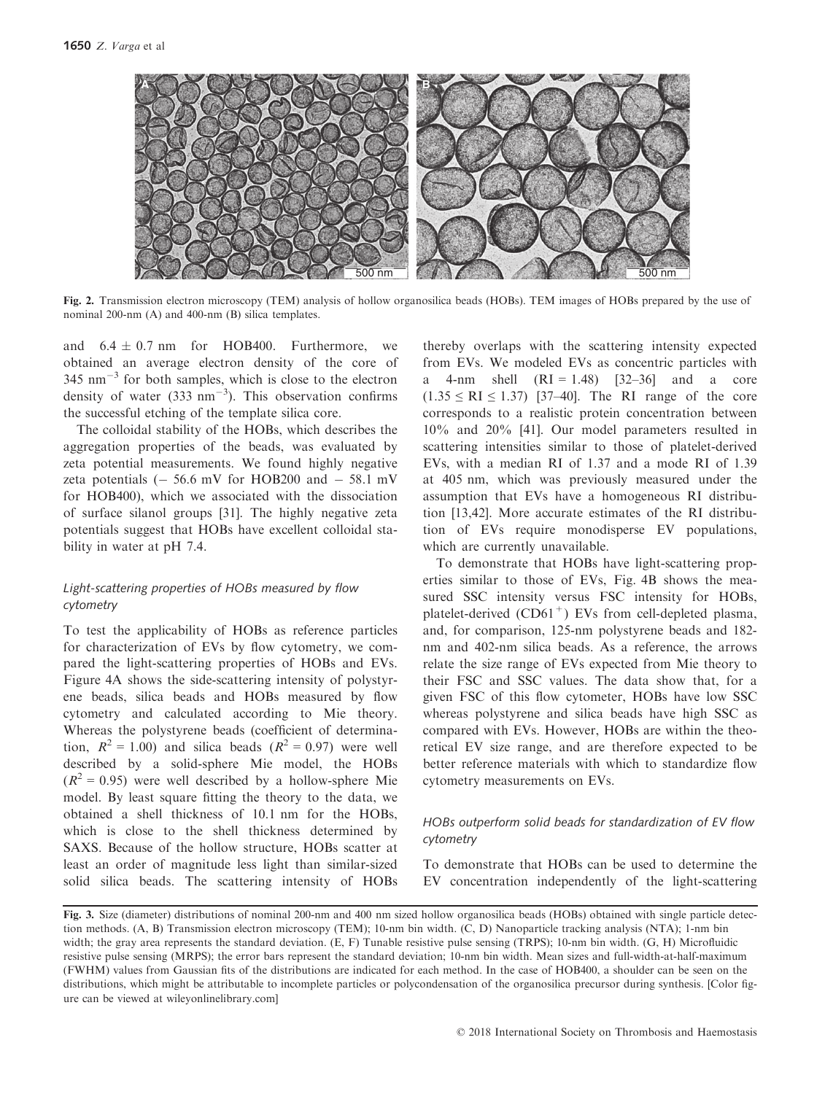

Fig. 2. Transmission electron microscopy (TEM) analysis of hollow organosilica beads (HOBs). TEM images of HOBs prepared by the use of nominal 200-nm (A) and 400-nm (B) silica templates.

and  $6.4 \pm 0.7$  nm for HOB400. Furthermore, we obtained an average electron density of the core of  $345$  nm<sup>-3</sup> for both samples, which is close to the electron density of water (333 nm<sup>-3</sup>). This observation confirms the successful etching of the template silica core.

The colloidal stability of the HOBs, which describes the aggregation properties of the beads, was evaluated by zeta potential measurements. We found highly negative zeta potentials  $(-56.6 \text{ mV}$  for HOB200 and  $-58.1 \text{ mV}$ for HOB400), which we associated with the dissociation of surface silanol groups [31]. The highly negative zeta potentials suggest that HOBs have excellent colloidal stability in water at pH 7.4.

# Light-scattering properties of HOBs measured by flow cytometry

To test the applicability of HOBs as reference particles for characterization of EVs by flow cytometry, we compared the light-scattering properties of HOBs and EVs. Figure 4A shows the side-scattering intensity of polystyrene beads, silica beads and HOBs measured by flow cytometry and calculated according to Mie theory. Whereas the polystyrene beads (coefficient of determination,  $R^2 = 1.00$ ) and silica beads  $(R^2 = 0.97)$  were well described by a solid-sphere Mie model, the HOBs  $(R^{2} = 0.95)$  were well described by a hollow-sphere Mie model. By least square fitting the theory to the data, we obtained a shell thickness of 10.1 nm for the HOBs, which is close to the shell thickness determined by SAXS. Because of the hollow structure, HOBs scatter at least an order of magnitude less light than similar-sized solid silica beads. The scattering intensity of HOBs thereby overlaps with the scattering intensity expected from EVs. We modeled EVs as concentric particles with a 4-nm shell  $(RI = 1.48)$  [32–36] and a core  $(1.35 \leq RI \leq 1.37)$  [37–40]. The RI range of the core corresponds to a realistic protein concentration between 10% and 20% [41]. Our model parameters resulted in scattering intensities similar to those of platelet-derived EVs, with a median RI of 1.37 and a mode RI of 1.39 at 405 nm, which was previously measured under the assumption that EVs have a homogeneous RI distribution [13,42]. More accurate estimates of the RI distribution of EVs require monodisperse EV populations, which are currently unavailable.

To demonstrate that HOBs have light-scattering properties similar to those of EVs, Fig. 4B shows the measured SSC intensity versus FSC intensity for HOBs, platelet-derived  $(CD61<sup>+</sup>)$  EVs from cell-depleted plasma, and, for comparison, 125-nm polystyrene beads and 182 nm and 402-nm silica beads. As a reference, the arrows relate the size range of EVs expected from Mie theory to their FSC and SSC values. The data show that, for a given FSC of this flow cytometer, HOBs have low SSC whereas polystyrene and silica beads have high SSC as compared with EVs. However, HOBs are within the theoretical EV size range, and are therefore expected to be better reference materials with which to standardize flow cytometry measurements on EVs.

# HOBs outperform solid beads for standardization of EV flow cytometry

To demonstrate that HOBs can be used to determine the EV concentration independently of the light-scattering

Fig. 3. Size (diameter) distributions of nominal 200-nm and 400 nm sized hollow organosilica beads (HOBs) obtained with single particle detection methods. (A, B) Transmission electron microscopy (TEM); 10-nm bin width. (C, D) Nanoparticle tracking analysis (NTA); 1-nm bin width; the gray area represents the standard deviation. (E, F) Tunable resistive pulse sensing (TRPS); 10-nm bin width. (G, H) Microfluidic resistive pulse sensing (MRPS); the error bars represent the standard deviation; 10-nm bin width. Mean sizes and full-width-at-half-maximum (FWHM) values from Gaussian fits of the distributions are indicated for each method. In the case of HOB400, a shoulder can be seen on the distributions, which might be attributable to incomplete particles or polycondensation of the organosilica precursor during synthesis. [Color figure can be viewed at [wileyonlinelibrary.com\]](www.wileyonlinelibrary.com)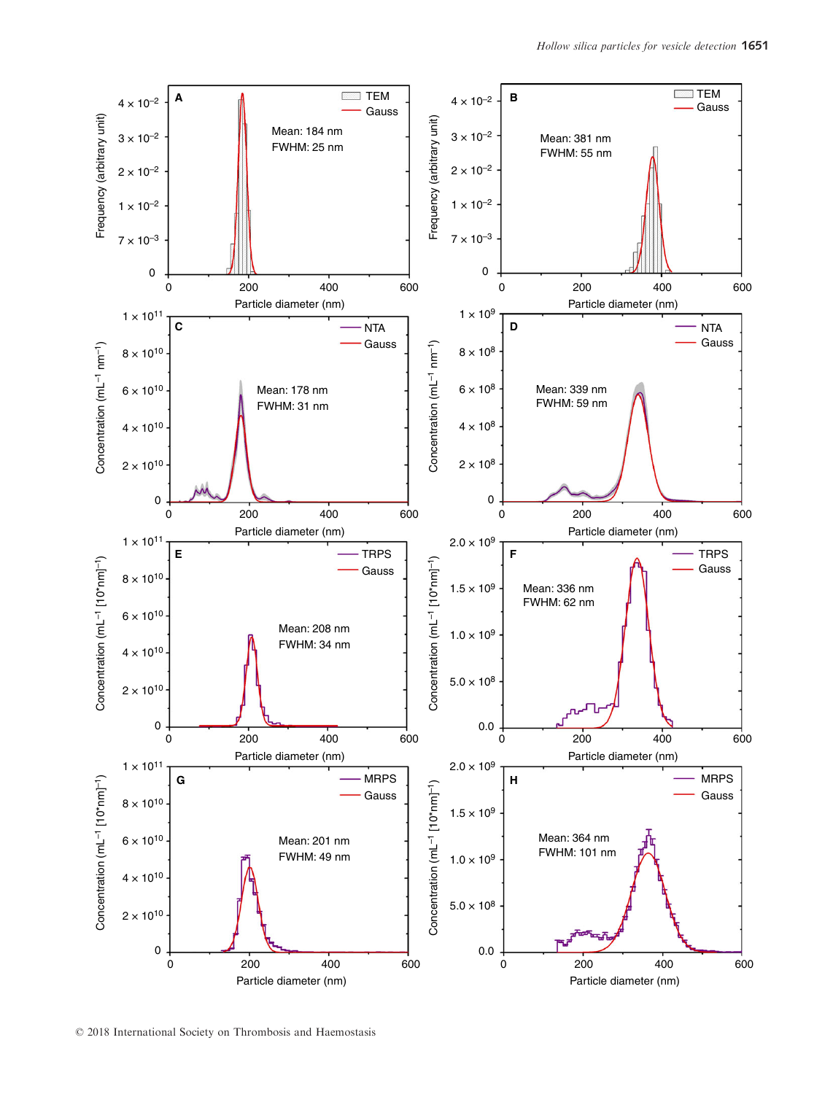

© 2018 International Society on Thrombosis and Haemostasis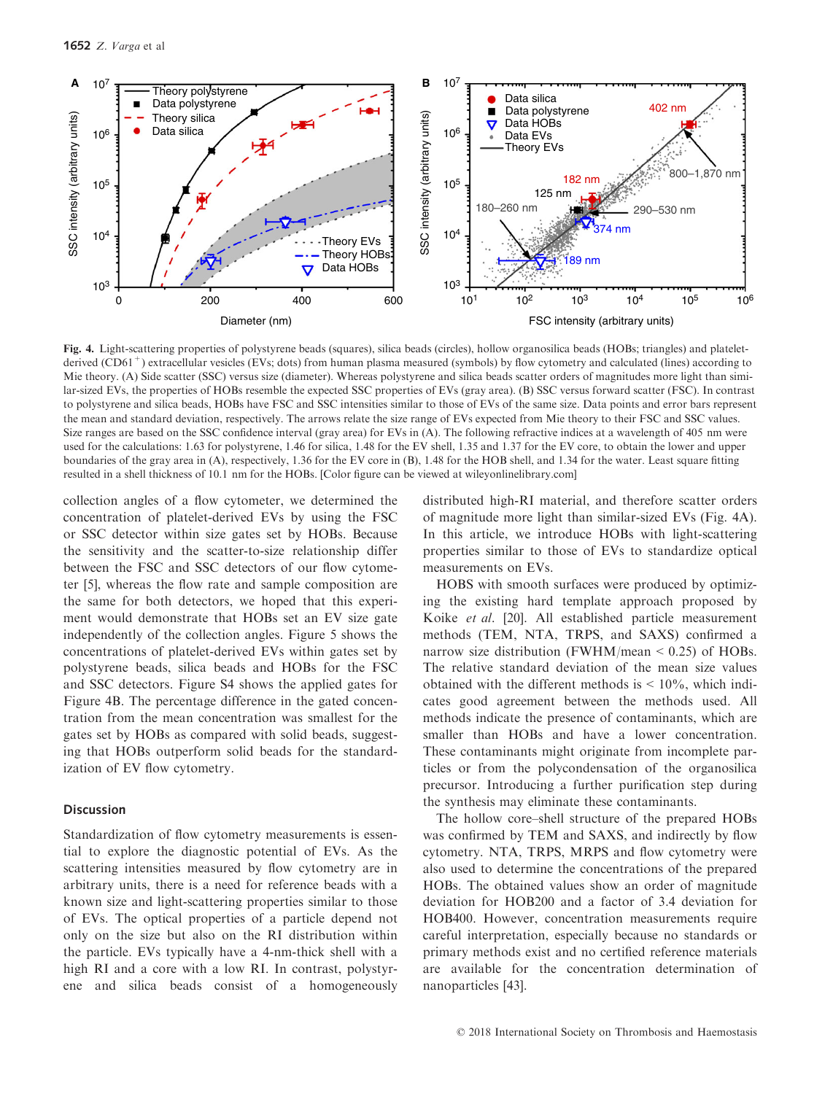

Fig. 4. Light-scattering properties of polystyrene beads (squares), silica beads (circles), hollow organosilica beads (HOBs; triangles) and plateletderived (CD61<sup>+</sup>) extracellular vesicles (EVs; dots) from human plasma measured (symbols) by flow cytometry and calculated (lines) according to Mie theory. (A) Side scatter (SSC) versus size (diameter). Whereas polystyrene and silica beads scatter orders of magnitudes more light than similar-sized EVs, the properties of HOBs resemble the expected SSC properties of EVs (gray area). (B) SSC versus forward scatter (FSC). In contrast to polystyrene and silica beads, HOBs have FSC and SSC intensities similar to those of EVs of the same size. Data points and error bars represent the mean and standard deviation, respectively. The arrows relate the size range of EVs expected from Mie theory to their FSC and SSC values. Size ranges are based on the SSC confidence interval (gray area) for EVs in (A). The following refractive indices at a wavelength of 405 nm were used for the calculations: 1.63 for polystyrene, 1.46 for silica, 1.48 for the EV shell, 1.35 and 1.37 for the EV core, to obtain the lower and upper boundaries of the gray area in (A), respectively, 1.36 for the EV core in (B), 1.48 for the HOB shell, and 1.34 for the water. Least square fitting resulted in a shell thickness of 10.1 nm for the HOBs. [Color figure can be viewed at [wileyonlinelibrary.com](www.wileyonlinelibrary.com)]

collection angles of a flow cytometer, we determined the concentration of platelet-derived EVs by using the FSC or SSC detector within size gates set by HOBs. Because the sensitivity and the scatter-to-size relationship differ between the FSC and SSC detectors of our flow cytometer [5], whereas the flow rate and sample composition are the same for both detectors, we hoped that this experiment would demonstrate that HOBs set an EV size gate independently of the collection angles. Figure 5 shows the concentrations of platelet-derived EVs within gates set by polystyrene beads, silica beads and HOBs for the FSC and SSC detectors. Figure S4 shows the applied gates for Figure 4B. The percentage difference in the gated concentration from the mean concentration was smallest for the gates set by HOBs as compared with solid beads, suggesting that HOBs outperform solid beads for the standardization of EV flow cytometry.

## Discussion

Standardization of flow cytometry measurements is essential to explore the diagnostic potential of EVs. As the scattering intensities measured by flow cytometry are in arbitrary units, there is a need for reference beads with a known size and light-scattering properties similar to those of EVs. The optical properties of a particle depend not only on the size but also on the RI distribution within the particle. EVs typically have a 4-nm-thick shell with a high RI and a core with a low RI. In contrast, polystyrene and silica beads consist of a homogeneously distributed high-RI material, and therefore scatter orders of magnitude more light than similar-sized EVs (Fig. 4A). In this article, we introduce HOBs with light-scattering properties similar to those of EVs to standardize optical measurements on EVs.

HOBS with smooth surfaces were produced by optimizing the existing hard template approach proposed by Koike et al. [20]. All established particle measurement methods (TEM, NTA, TRPS, and SAXS) confirmed a narrow size distribution (FWHM/mean  $\leq$  0.25) of HOBs. The relative standard deviation of the mean size values obtained with the different methods is  $\leq 10\%$ , which indicates good agreement between the methods used. All methods indicate the presence of contaminants, which are smaller than HOBs and have a lower concentration. These contaminants might originate from incomplete particles or from the polycondensation of the organosilica precursor. Introducing a further purification step during the synthesis may eliminate these contaminants.

The hollow core–shell structure of the prepared HOBs was confirmed by TEM and SAXS, and indirectly by flow cytometry. NTA, TRPS, MRPS and flow cytometry were also used to determine the concentrations of the prepared HOBs. The obtained values show an order of magnitude deviation for HOB200 and a factor of 3.4 deviation for HOB400. However, concentration measurements require careful interpretation, especially because no standards or primary methods exist and no certified reference materials are available for the concentration determination of nanoparticles [43].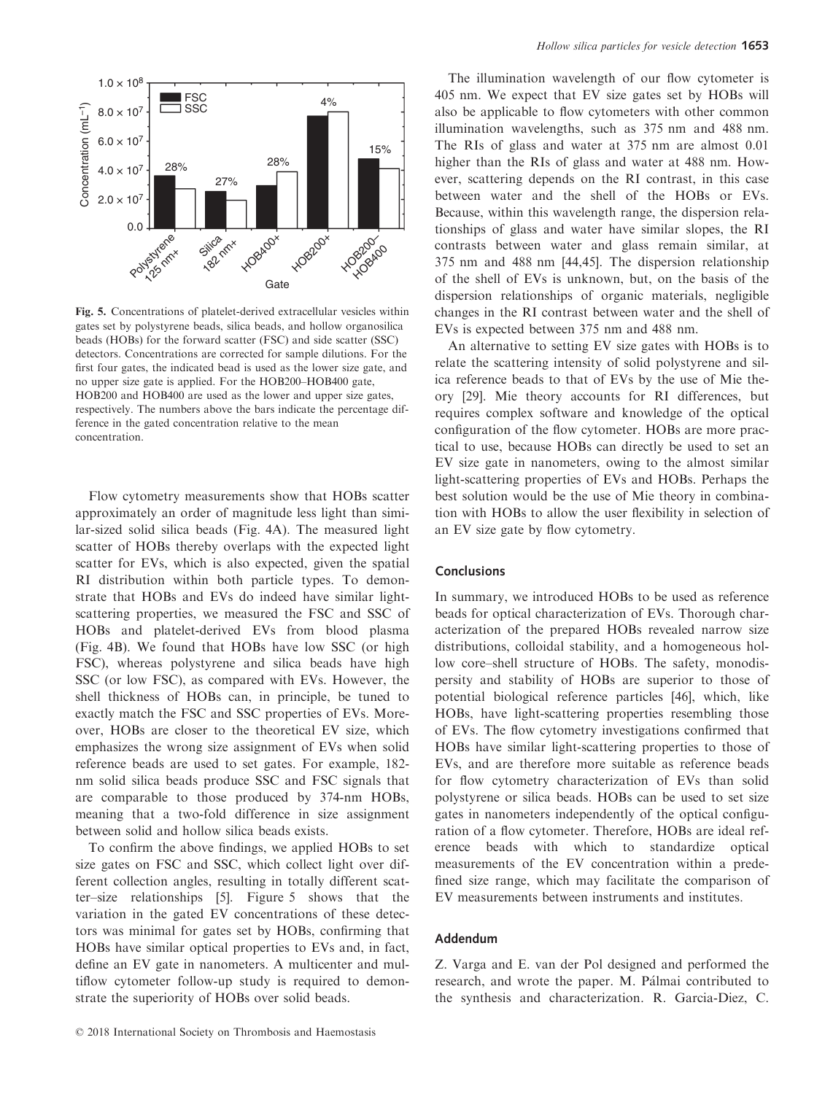

Fig. 5. Concentrations of platelet-derived extracellular vesicles within gates set by polystyrene beads, silica beads, and hollow organosilica beads (HOBs) for the forward scatter (FSC) and side scatter (SSC) detectors. Concentrations are corrected for sample dilutions. For the first four gates, the indicated bead is used as the lower size gate, and no upper size gate is applied. For the HOB200–HOB400 gate, HOB200 and HOB400 are used as the lower and upper size gates, respectively. The numbers above the bars indicate the percentage difference in the gated concentration relative to the mean concentration.

Flow cytometry measurements show that HOBs scatter approximately an order of magnitude less light than similar-sized solid silica beads (Fig. 4A). The measured light scatter of HOBs thereby overlaps with the expected light scatter for EVs, which is also expected, given the spatial RI distribution within both particle types. To demonstrate that HOBs and EVs do indeed have similar lightscattering properties, we measured the FSC and SSC of HOBs and platelet-derived EVs from blood plasma (Fig. 4B). We found that HOBs have low SSC (or high FSC), whereas polystyrene and silica beads have high SSC (or low FSC), as compared with EVs. However, the shell thickness of HOBs can, in principle, be tuned to exactly match the FSC and SSC properties of EVs. Moreover, HOBs are closer to the theoretical EV size, which emphasizes the wrong size assignment of EVs when solid reference beads are used to set gates. For example, 182 nm solid silica beads produce SSC and FSC signals that are comparable to those produced by 374-nm HOBs, meaning that a two-fold difference in size assignment between solid and hollow silica beads exists.

To confirm the above findings, we applied HOBs to set size gates on FSC and SSC, which collect light over different collection angles, resulting in totally different scatter–size relationships [5]. Figure 5 shows that the variation in the gated EV concentrations of these detectors was minimal for gates set by HOBs, confirming that HOBs have similar optical properties to EVs and, in fact, define an EV gate in nanometers. A multicenter and multiflow cytometer follow-up study is required to demonstrate the superiority of HOBs over solid beads.

The illumination wavelength of our flow cytometer is 405 nm. We expect that EV size gates set by HOBs will also be applicable to flow cytometers with other common illumination wavelengths, such as 375 nm and 488 nm. The RIs of glass and water at 375 nm are almost 0.01 higher than the RIs of glass and water at 488 nm. However, scattering depends on the RI contrast, in this case between water and the shell of the HOBs or EVs. Because, within this wavelength range, the dispersion relationships of glass and water have similar slopes, the RI contrasts between water and glass remain similar, at 375 nm and 488 nm [44,45]. The dispersion relationship of the shell of EVs is unknown, but, on the basis of the dispersion relationships of organic materials, negligible changes in the RI contrast between water and the shell of EVs is expected between 375 nm and 488 nm.

An alternative to setting EV size gates with HOBs is to relate the scattering intensity of solid polystyrene and silica reference beads to that of EVs by the use of Mie theory [29]. Mie theory accounts for RI differences, but requires complex software and knowledge of the optical configuration of the flow cytometer. HOBs are more practical to use, because HOBs can directly be used to set an EV size gate in nanometers, owing to the almost similar light-scattering properties of EVs and HOBs. Perhaps the best solution would be the use of Mie theory in combination with HOBs to allow the user flexibility in selection of an EV size gate by flow cytometry.

#### Conclusions

In summary, we introduced HOBs to be used as reference beads for optical characterization of EVs. Thorough characterization of the prepared HOBs revealed narrow size distributions, colloidal stability, and a homogeneous hollow core–shell structure of HOBs. The safety, monodispersity and stability of HOBs are superior to those of potential biological reference particles [46], which, like HOBs, have light-scattering properties resembling those of EVs. The flow cytometry investigations confirmed that HOBs have similar light-scattering properties to those of EVs, and are therefore more suitable as reference beads for flow cytometry characterization of EVs than solid polystyrene or silica beads. HOBs can be used to set size gates in nanometers independently of the optical configuration of a flow cytometer. Therefore, HOBs are ideal reference beads with which to standardize optical measurements of the EV concentration within a predefined size range, which may facilitate the comparison of EV measurements between instruments and institutes.

#### Addendum

Z. Varga and E. van der Pol designed and performed the research, and wrote the paper. M. Palmai contributed to the synthesis and characterization. R. Garcia-Diez, C.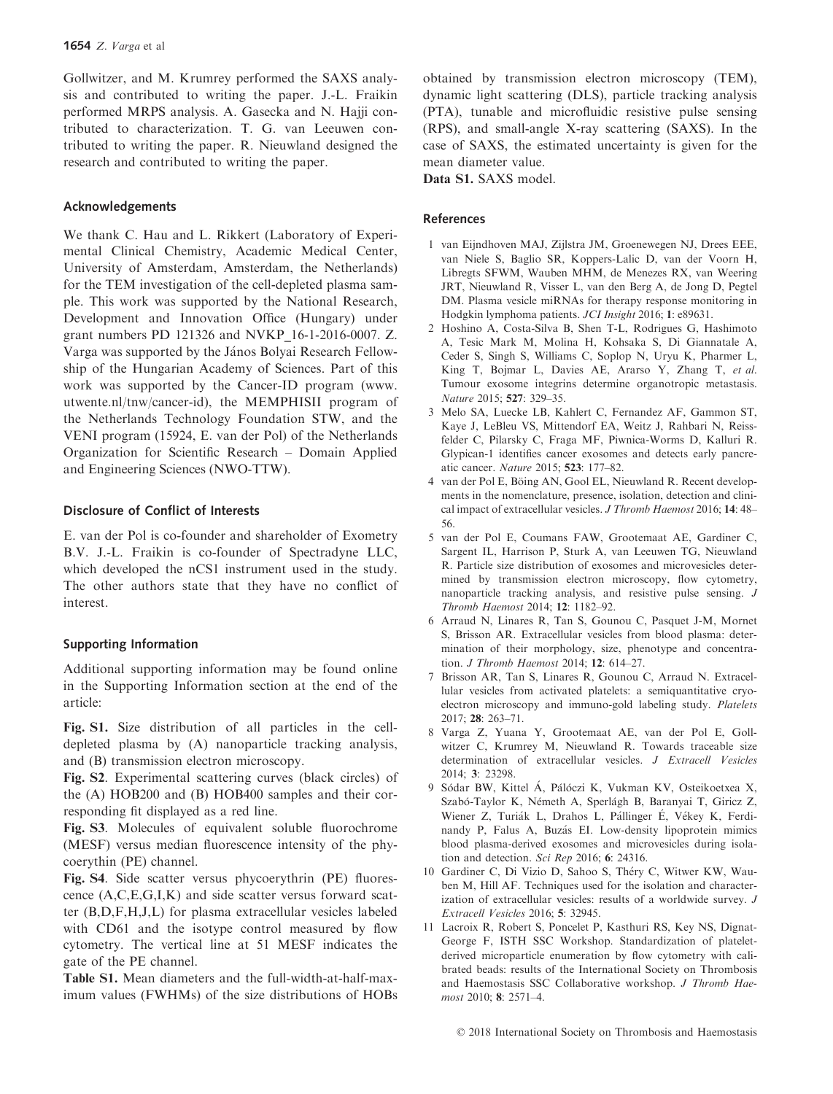Gollwitzer, and M. Krumrey performed the SAXS analysis and contributed to writing the paper. J.-L. Fraikin performed MRPS analysis. A. Gasecka and N. Hajji contributed to characterization. T. G. van Leeuwen contributed to writing the paper. R. Nieuwland designed the research and contributed to writing the paper.

# Acknowledgements

We thank C. Hau and L. Rikkert (Laboratory of Experimental Clinical Chemistry, Academic Medical Center, University of Amsterdam, Amsterdam, the Netherlands) for the TEM investigation of the cell-depleted plasma sample. This work was supported by the National Research, Development and Innovation Office (Hungary) under grant numbers PD 121326 and NVKP\_16-1-2016-0007. Z. Varga was supported by the János Bolyai Research Fellowship of the Hungarian Academy of Sciences. Part of this work was supported by the Cancer-ID program [\(www.](http://www.utwente.nl/tnw/cancer-id) [utwente.nl/tnw/cancer-id\)](http://www.utwente.nl/tnw/cancer-id), the MEMPHISII program of the Netherlands Technology Foundation STW, and the VENI program (15924, E. van der Pol) of the Netherlands Organization for Scientific Research – Domain Applied and Engineering Sciences (NWO-TTW).

# Disclosure of Conflict of Interests

E. van der Pol is co-founder and shareholder of Exometry B.V. J.-L. Fraikin is co-founder of Spectradyne LLC, which developed the nCS1 instrument used in the study. The other authors state that they have no conflict of interest.

# Supporting Information

Additional supporting information may be found online in the Supporting Information section at the end of the article:

Fig. S1. Size distribution of all particles in the celldepleted plasma by (A) nanoparticle tracking analysis, and (B) transmission electron microscopy.

Fig. S2. Experimental scattering curves (black circles) of the (A) HOB200 and (B) HOB400 samples and their corresponding fit displayed as a red line.

Fig. S3. Molecules of equivalent soluble fluorochrome (MESF) versus median fluorescence intensity of the phycoerythin (PE) channel.

Fig. S4. Side scatter versus phycoerythrin (PE) fluorescence (A,C,E,G,I,K) and side scatter versus forward scatter (B,D,F,H,J,L) for plasma extracellular vesicles labeled with CD61 and the isotype control measured by flow cytometry. The vertical line at 51 MESF indicates the gate of the PE channel.

Table S1. Mean diameters and the full-width-at-half-maximum values (FWHMs) of the size distributions of HOBs obtained by transmission electron microscopy (TEM), dynamic light scattering (DLS), particle tracking analysis (PTA), tunable and microfluidic resistive pulse sensing (RPS), and small-angle X-ray scattering (SAXS). In the case of SAXS, the estimated uncertainty is given for the mean diameter value.

Data S1. SAXS model.

# References

- 1 van Eijndhoven MAJ, Zijlstra JM, Groenewegen NJ, Drees EEE, van Niele S, Baglio SR, Koppers-Lalic D, van der Voorn H, Libregts SFWM, Wauben MHM, de Menezes RX, van Weering JRT, Nieuwland R, Visser L, van den Berg A, de Jong D, Pegtel DM. Plasma vesicle miRNAs for therapy response monitoring in Hodgkin lymphoma patients. JCI Insight 2016; 1: e89631.
- 2 Hoshino A, Costa-Silva B, Shen T-L, Rodrigues G, Hashimoto A, Tesic Mark M, Molina H, Kohsaka S, Di Giannatale A, Ceder S, Singh S, Williams C, Soplop N, Uryu K, Pharmer L, King T, Bojmar L, Davies AE, Ararso Y, Zhang T, et al. Tumour exosome integrins determine organotropic metastasis. Nature 2015; 527: 329–35.
- 3 Melo SA, Luecke LB, Kahlert C, Fernandez AF, Gammon ST, Kaye J, LeBleu VS, Mittendorf EA, Weitz J, Rahbari N, Reissfelder C, Pilarsky C, Fraga MF, Piwnica-Worms D, Kalluri R. Glypican-1 identifies cancer exosomes and detects early pancreatic cancer. Nature 2015; 523: 177–82.
- 4 van der Pol E, Böing AN, Gool EL, Nieuwland R. Recent developments in the nomenclature, presence, isolation, detection and clinical impact of extracellular vesicles. J Thromb Haemost 2016; 14: 48-56.
- 5 van der Pol E, Coumans FAW, Grootemaat AE, Gardiner C, Sargent IL, Harrison P, Sturk A, van Leeuwen TG, Nieuwland R. Particle size distribution of exosomes and microvesicles determined by transmission electron microscopy, flow cytometry, nanoparticle tracking analysis, and resistive pulse sensing. J Thromb Haemost 2014; 12: 1182–92.
- 6 Arraud N, Linares R, Tan S, Gounou C, Pasquet J-M, Mornet S, Brisson AR. Extracellular vesicles from blood plasma: determination of their morphology, size, phenotype and concentration. *J Thromb Haemost* 2014; 12: 614-27.
- 7 Brisson AR, Tan S, Linares R, Gounou C, Arraud N. Extracellular vesicles from activated platelets: a semiquantitative cryoelectron microscopy and immuno-gold labeling study. Platelets 2017; 28: 263–71.
- 8 Varga Z, Yuana Y, Grootemaat AE, van der Pol E, Gollwitzer C, Krumrey M, Nieuwland R. Towards traceable size determination of extracellular vesicles. J Extracell Vesicles 2014; 3: 23298.
- 9 Sódar BW, Kittel Á, Pálóczi K, Vukman KV, Osteikoetxea X, Szabó-Taylor K, Németh A, Sperlágh B, Baranyai T, Giricz Z, Wiener Z, Turiák L, Drahos L, Pállinger É, Vékey K, Ferdinandy P, Falus A, Buzás EI. Low-density lipoprotein mimics blood plasma-derived exosomes and microvesicles during isolation and detection. Sci Rep 2016; 6: 24316.
- 10 Gardiner C, Di Vizio D, Sahoo S, Thery C, Witwer KW, Wauben M, Hill AF. Techniques used for the isolation and characterization of extracellular vesicles: results of a worldwide survey. J Extracell Vesicles 2016; 5: 32945.
- 11 Lacroix R, Robert S, Poncelet P, Kasthuri RS, Key NS, Dignat-George F, ISTH SSC Workshop. Standardization of plateletderived microparticle enumeration by flow cytometry with calibrated beads: results of the International Society on Thrombosis and Haemostasis SSC Collaborative workshop. J Thromb Haemost 2010; 8: 2571–4.